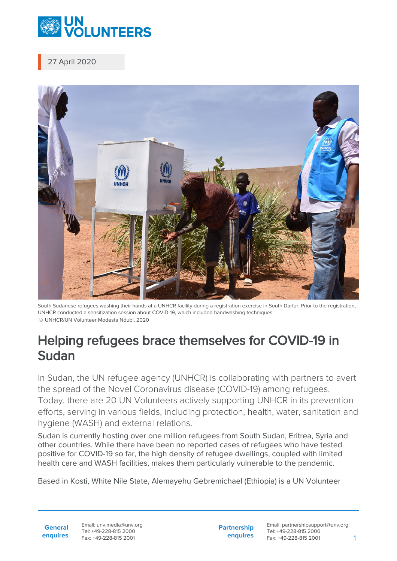

27 April 2020



South Sudanese refugees washing their hands at a UNHCR facility during a registration exercise in South Darfur. Prior to the registration, UNHCR conducted a sensitization session about COVID-19, which included handwashing techniques. © UNHCR/UN Volunteer Modesta Ndubi, 2020

## Helping refugees brace themselves for COVID-19 in Sudan

In Sudan, the UN refugee agency (UNHCR) is collaborating with partners to avert the spread of the Novel Coronavirus disease (COVID-19) among refugees. Today, there are 20 UN Volunteers actively supporting UNHCR in its prevention efforts, serving in various fields, including protection, health, water, sanitation and hygiene (WASH) and external relations.

Sudan is currently hosting over one million refugees from South Sudan, Eritrea, Syria and other countries. While there have been no reported cases of refugees who have tested positive for COVID-19 so far, the high density of refugee dwellings, coupled with limited health care and WASH facilities, makes them particularly vulnerable to the pandemic.

Based in Kosti, White Nile State, Alemayehu Gebremichael (Ethiopia) is a UN Volunteer

**General enquires** Email: unv.media@unv.org Tel: +49-228-815 2000 Fax: +49-228-815 2001

**Partnership enquires** Email: partnershipsupport@unv.org Tel: +49-228-815 2000 Fax: +49-228-815 2001 1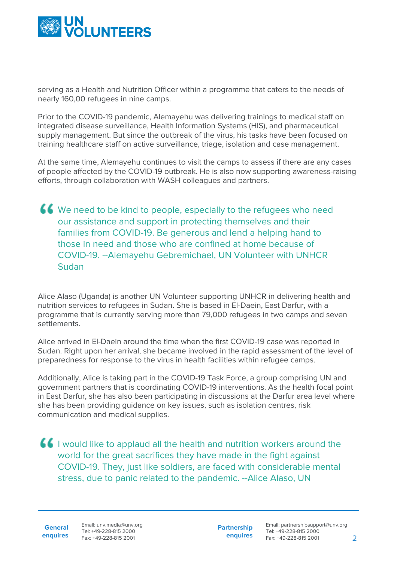

serving as a Health and Nutrition Officer within a programme that caters to the needs of nearly 160,00 refugees in nine camps.

Prior to the COVID-19 pandemic, Alemayehu was delivering trainings to medical staff on integrated disease surveillance, Health Information Systems (HIS), and pharmaceutical supply management. But since the outbreak of the virus, his tasks have been focused on training healthcare staff on active surveillance, triage, isolation and case management.

At the same time, Alemayehu continues to visit the camps to assess if there are any cases of people affected by the COVID-19 outbreak. He is also now supporting awareness-raising efforts, through collaboration with WASH colleagues and partners.

We need to be kind to people, especially to the refugees who need our assistance and support in protecting themselves and their families from COVID-19. Be generous and lend a helping hand to those in need and those who are confined at home because of COVID-19. --Alemayehu Gebremichael, UN Volunteer with UNHCR Sudan

Alice Alaso (Uganda) is another UN Volunteer supporting UNHCR in delivering health and nutrition services to refugees in Sudan. She is based in El-Daein, East Darfur, with a programme that is currently serving more than 79,000 refugees in two camps and seven settlements.

Alice arrived in El-Daein around the time when the first COVID-19 case was reported in Sudan. Right upon her arrival, she became involved in the rapid assessment of the level of preparedness for response to the virus in health facilities within refugee camps.

Additionally, Alice is taking part in the COVID-19 Task Force, a group comprising UN and government partners that is coordinating COVID-19 interventions. As the health focal point in East Darfur, she has also been participating in discussions at the Darfur area level where she has been providing guidance on key issues, such as isolation centres, risk communication and medical supplies.

I would like to applaud all the health and nutrition workers around the world for the great sacrifices they have made in the fight against COVID-19. They, just like soldiers, are faced with considerable mental stress, due to panic related to the pandemic. --Alice Alaso, UN

**General enquires** Email: unv.media@unv.org Tel: +49-228-815 2000 Fax: +49-228-815 2001

**Partnership enquires**

Email: partnershipsupport@unv.org Tel: +49-228-815 2000 Fax: +49-228-815 2001 2